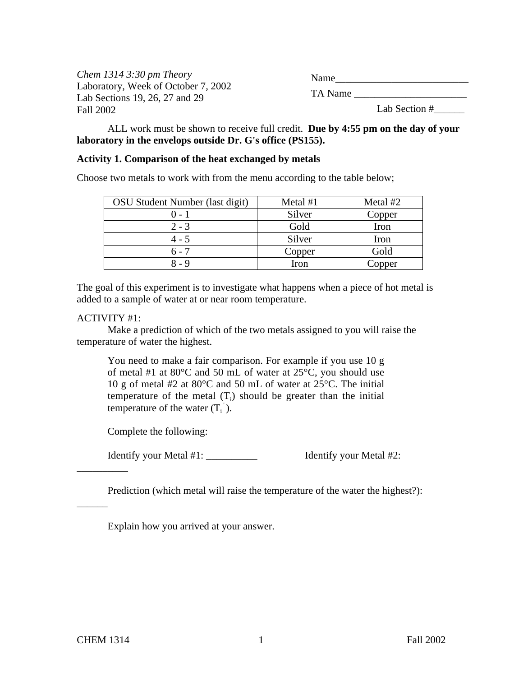| Chem $1314$ 3:30 pm Theory                                            | Name          |
|-----------------------------------------------------------------------|---------------|
| Laboratory, Week of October 7, 2002<br>Lab Sections 19, 26, 27 and 29 | TA Name       |
| Fall 2002                                                             | Lab Section # |

ALL work must be shown to receive full credit. **Due by 4:55 pm on the day of your laboratory in the envelops outside Dr. G's office (PS155).**

#### **Activity 1. Comparison of the heat exchanged by metals**

Choose two metals to work with from the menu according to the table below;

| OSU Student Number (last digit) | Metal #1 | Metal #2 |
|---------------------------------|----------|----------|
| () - 1                          | Silver   | Copper   |
| $2 - 3$                         | Gold     | Iron     |
| $4 - 5$                         | Silver   | Iron     |
| $6 - 7$                         | Copper   | Gold     |
| 8 - 9                           | Iron     | Copper   |

The goal of this experiment is to investigate what happens when a piece of hot metal is added to a sample of water at or near room temperature.

### ACTIVITY #1:

Make a prediction of which of the two metals assigned to you will raise the temperature of water the highest.

You need to make a fair comparison. For example if you use 10 g of metal #1 at 80°C and 50 mL of water at 25°C, you should use 10 g of metal #2 at 80°C and 50 mL of water at 25°C. The initial temperature of the metal  $(T<sub>i</sub>)$  should be greater than the initial temperature of the water  $(T_i)$ .

Complete the following:

Identify your Metal #1: Identify your Metal #2:

Prediction (which metal will raise the temperature of the water the highest?):

Explain how you arrived at your answer.

\_\_\_\_\_\_\_\_\_\_

\_\_\_\_\_\_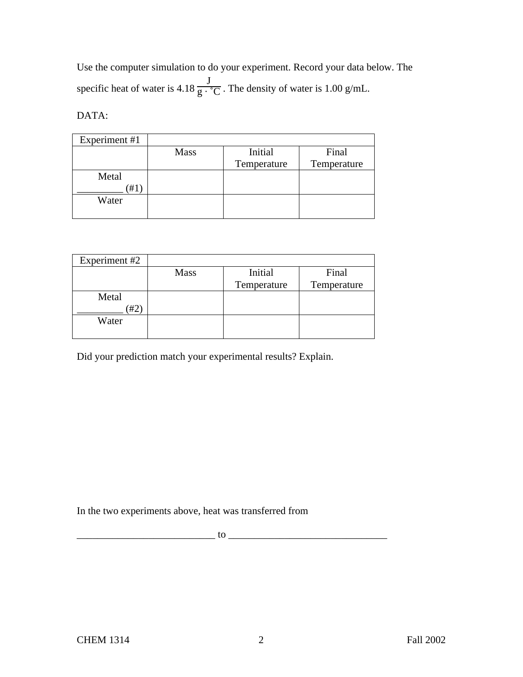Use the computer simulation to do your experiment. Record your data below. The specific heat of water is 4.18 J  $\frac{1}{g \cdot {}^{\circ}C}$ . The density of water is 1.00 g/mL.

DATA:

| Experiment #1 |             |             |             |
|---------------|-------------|-------------|-------------|
|               | <b>Mass</b> | Initial     | Final       |
|               |             | Temperature | Temperature |
| Metal         |             |             |             |
| '#1           |             |             |             |
| Water         |             |             |             |
|               |             |             |             |

| Experiment #2 |             |             |             |
|---------------|-------------|-------------|-------------|
|               | <b>Mass</b> | Initial     | Final       |
|               |             | Temperature | Temperature |
| Metal         |             |             |             |
| #2            |             |             |             |
| Water         |             |             |             |
|               |             |             |             |

Did your prediction match your experimental results? Explain.

In the two experiments above, heat was transferred from

 $\hbox{tot}$  to  $\hbox{tot}$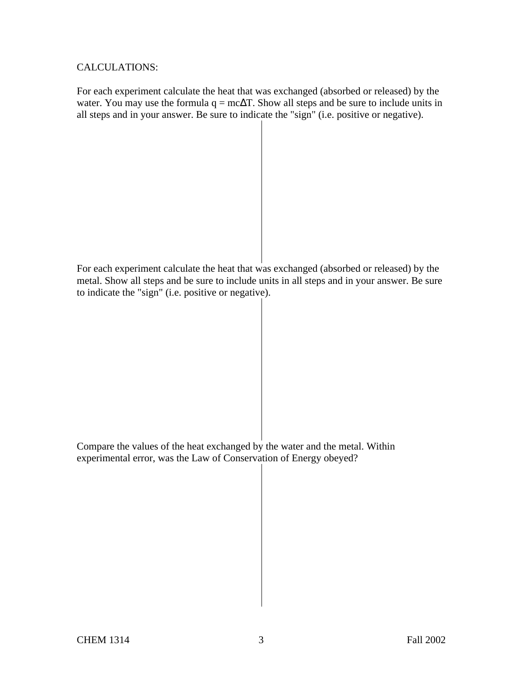### CALCULATIONS:

For each experiment calculate the heat that was exchanged (absorbed or released) by the water. You may use the formula  $q = mc\Delta T$ . Show all steps and be sure to include units in all steps and in your answer. Be sure to indicate the "sign" (i.e. positive or negative).

For each experiment calculate the heat that was exchanged (absorbed or released) by the metal. Show all steps and be sure to include units in all steps and in your answer. Be sure to indicate the "sign" (i.e. positive or negative).

Compare the values of the heat exchanged by the water and the metal. Within experimental error, was the Law of Conservation of Energy obeyed?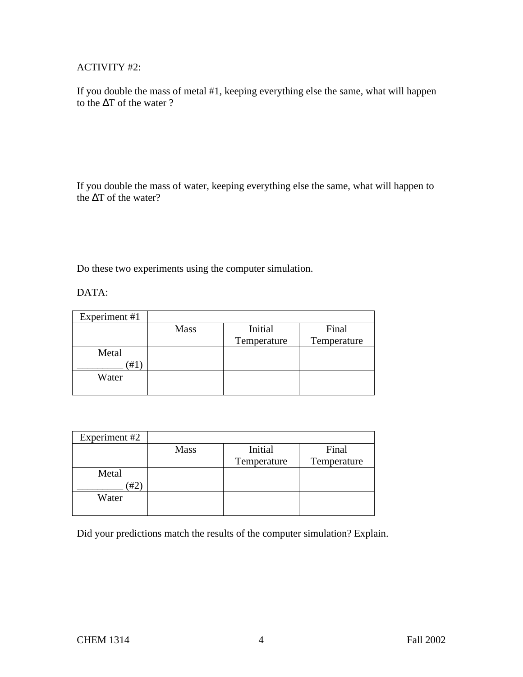# ACTIVITY #2:

If you double the mass of metal #1, keeping everything else the same, what will happen to the ∆T of the water ?

If you double the mass of water, keeping everything else the same, what will happen to the ∆T of the water?

Do these two experiments using the computer simulation.

DATA:

| Experiment #1 |             |             |             |
|---------------|-------------|-------------|-------------|
|               | <b>Mass</b> | Initial     | Final       |
|               |             | Temperature | Temperature |
| Metal         |             |             |             |
| #1            |             |             |             |
| Water         |             |             |             |
|               |             |             |             |

| Experiment #2 |             |             |             |
|---------------|-------------|-------------|-------------|
|               | <b>Mass</b> | Initial     | Final       |
|               |             | Temperature | Temperature |
| Metal         |             |             |             |
| #2            |             |             |             |
| Water         |             |             |             |
|               |             |             |             |

Did your predictions match the results of the computer simulation? Explain.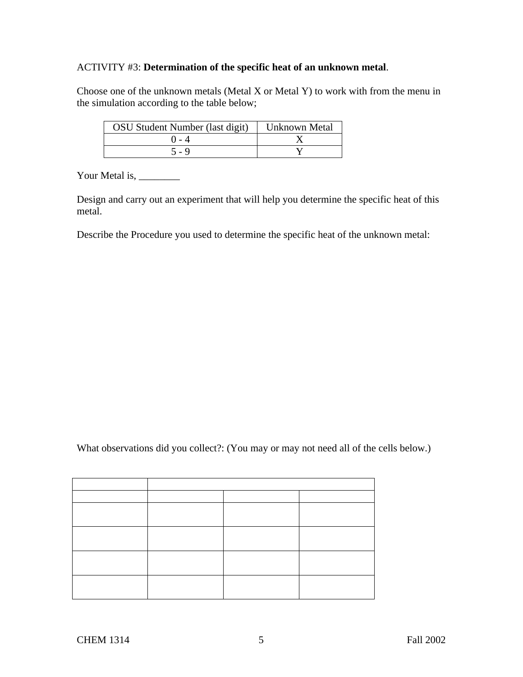## ACTIVITY #3: **Determination of the specific heat of an unknown metal**.

Choose one of the unknown metals (Metal X or Metal Y) to work with from the menu in the simulation according to the table below;

| OSU Student Number (last digit) | <b>Unknown Metal</b> |
|---------------------------------|----------------------|
|                                 |                      |
| 5 - 9                           |                      |

Your Metal is,

Design and carry out an experiment that will help you determine the specific heat of this metal.

Describe the Procedure you used to determine the specific heat of the unknown metal:

What observations did you collect?: (You may or may not need all of the cells below.)